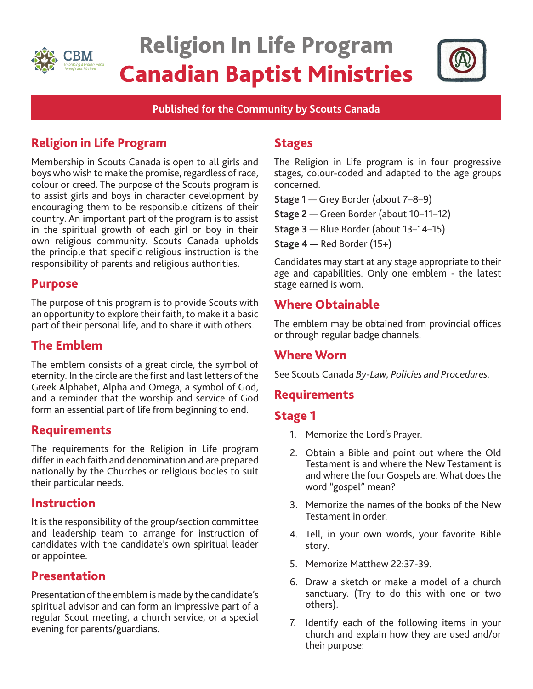

# Religion In Life Program Canadian Baptist Ministries



#### **Published for the Community by Scouts Canada**

## Religion in Life Program

Membership in Scouts Canada is open to all girls and boys who wish to make the promise, regardless of race, colour or creed. The purpose of the Scouts program is to assist girls and boys in character development by encouraging them to be responsible citizens of their country. An important part of the program is to assist in the spiritual growth of each girl or boy in their own religious community. Scouts Canada upholds the principle that specific religious instruction is the responsibility of parents and religious authorities.

#### Purpose

The purpose of this program is to provide Scouts with an opportunity to explore their faith, to make it a basic part of their personal life, and to share it with others.

## The Emblem

The emblem consists of a great circle, the symbol of eternity. In the circle are the first and last letters of the Greek Alphabet, Alpha and Omega, a symbol of God, and a reminder that the worship and service of God form an essential part of life from beginning to end.

## **Requirements**

The requirements for the Religion in Life program differ in each faith and denomination and are prepared nationally by the Churches or religious bodies to suit their particular needs.

### Instruction

It is the responsibility of the group/section committee and leadership team to arrange for instruction of candidates with the candidate's own spiritual leader or appointee.

### Presentation

Presentation of the emblem is made by the candidate's spiritual advisor and can form an impressive part of a regular Scout meeting, a church service, or a special evening for parents/guardians.

#### **Stages**

The Religion in Life program is in four progressive stages, colour-coded and adapted to the age groups concerned.

**Stage 1** — Grey Border (about 7–8–9)

**Stage 2** — Green Border (about 10–11–12)

**Stage 3** — Blue Border (about 13–14–15)

**Stage 4** — Red Border (15+)

Candidates may start at any stage appropriate to their age and capabilities. Only one emblem - the latest stage earned is worn.

## Where Obtainable

The emblem may be obtained from provincial offices or through regular badge channels.

### Where Worn

See Scouts Canada *By-Law, Policies and Procedures.*

## **Requirements**

#### Stage 1

- 1. Memorize the Lord's Prayer.
- 2. Obtain a Bible and point out where the Old Testament is and where the New Testament is and where the four Gospels are. What does the word "gospel" mean?
- 3. Memorize the names of the books of the New Testament in order.
- 4. Tell, in your own words, your favorite Bible story.
- 5. Memorize Matthew 22:37-39.
- 6. Draw a sketch or make a model of a church sanctuary. (Try to do this with one or two others).
- 7. Identify each of the following items in your church and explain how they are used and/or their purpose: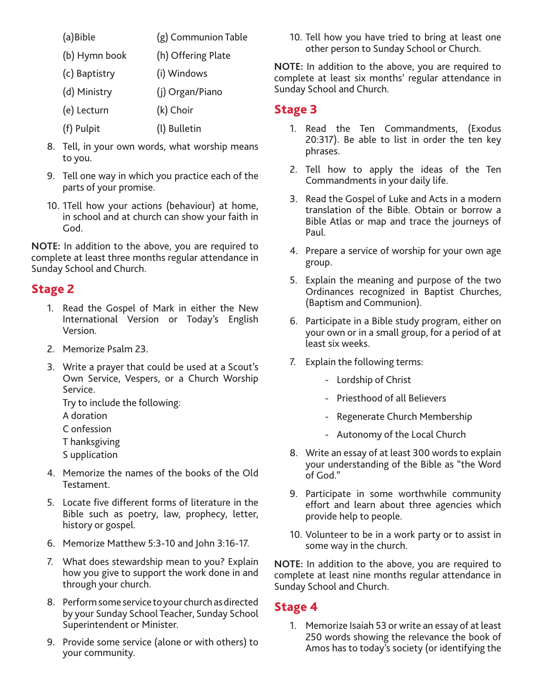- (a)Bible (g) Communion Table
- (b) Hymn book (h) Offering Plate
- (c) Baptistry (i) Windows
- (d) Ministry (j) Organ/Piano
- (e) Lecturn (k) Choir
- (f) Pulpit (l) Bulletin
- 8. Tell, in your own words, what worship means to you.
- 9. Tell one way in which you practice each of the parts of your promise.
- 10. 1Tell how your actions (behaviour) at home, in school and at church can show your faith in God.

**NOTE:** In addition to the above, you are required to complete at least three months regular attendance in Sunday School and Church.

# Stage 2

- 1. Read the Gospel of Mark in either the New International Version or Today's English Version.
- 2. Memorize Psalm 23.
- 3. Write a prayer that could be used at a Scout's Own Service, Vespers, or a Church Worship Service.

Try to include the following:

A doration

C onfession

- T hanksgiving
- S upplication
- 4. Memorize the names of the books of the Old Testament.
- 5. Locate five different forms of literature in the Bible such as poetry, law, prophecy, letter, history or gospel.
- 6. Memorize Matthew 5:3-10 and John 3:16-17.
- 7. What does stewardship mean to you? Explain how you give to support the work done in and through your church.
- 8. Perform some service to your church as directed by your Sunday School Teacher, Sunday School Superintendent or Minister.
- 9. Provide some service (alone or with others) to your community.

10. Tell how you have tried to bring at least one other person to Sunday School or Church.

**NOTE:** In addition to the above, you are required to complete at least six months' regular attendance in Sunday School and Church.

## Stage 3

- 1. Read the Ten Commandments, (Exodus 20:317). Be able to list in order the ten key phrases.
- 2. Tell how to apply the ideas of the Ten Commandments in your daily life.
- 3. Read the Gospel of Luke and Acts in a modern translation of the Bible. Obtain or borrow a Bible Atlas or map and trace the journeys of Paul.
- 4. Prepare a service of worship for your own age group.
- 5. Explain the meaning and purpose of the two Ordinances recognized in Baptist Churches, (Baptism and Communion).
- 6. Participate in a Bible study program, either on your own or in a small group, for a period of at least six weeks.
- 7. Explain the following terms:
	- Lordship of Christ
	- Priesthood of all Believers
	- Regenerate Church Membership
	- Autonomy of the Local Church
- 8. Write an essay of at least 300 words to explain your understanding of the Bible as "the Word of God."
- 9. Participate in some worthwhile community effort and learn about three agencies which provide help to people.
- 10. Volunteer to be in a work party or to assist in some way in the church.

**NOTE:** In addition to the above, you are required to complete at least nine months regular attendance in Sunday School and Church.

# Stage 4

1. Memorize Isaiah 53 or write an essay of at least 250 words showing the relevance the book of Amos has to today's society (or identifying the